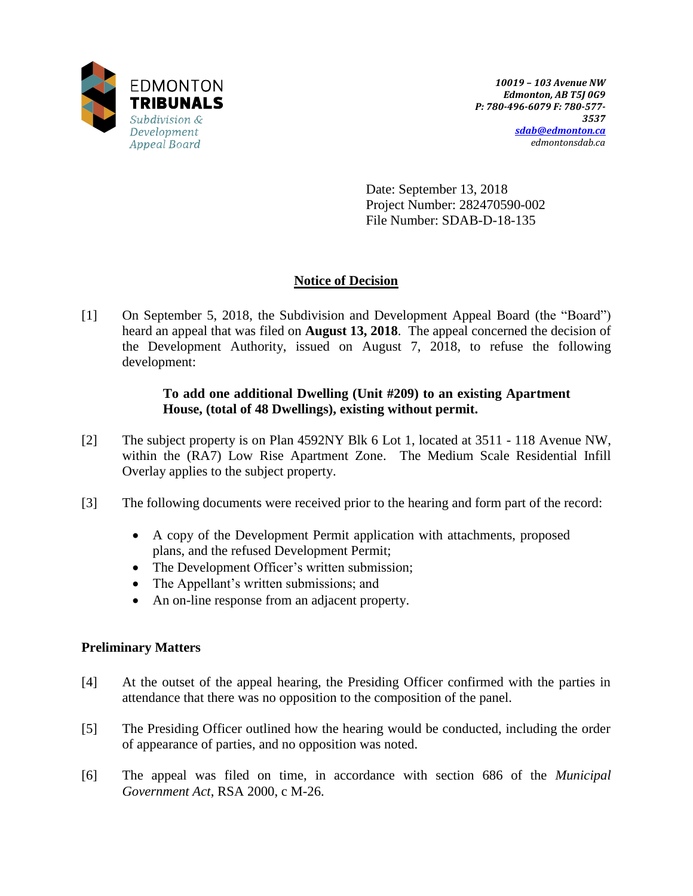

Date: September 13, 2018 Project Number: 282470590-002 File Number: SDAB-D-18-135

# **Notice of Decision**

[1] On September 5, 2018, the Subdivision and Development Appeal Board (the "Board") heard an appeal that was filed on **August 13, 2018**. The appeal concerned the decision of the Development Authority, issued on August 7, 2018, to refuse the following development:

## **To add one additional Dwelling (Unit #209) to an existing Apartment House, (total of 48 Dwellings), existing without permit.**

- [2] The subject property is on Plan 4592NY Blk 6 Lot 1, located at 3511 118 Avenue NW, within the (RA7) Low Rise Apartment Zone. The Medium Scale Residential Infill Overlay applies to the subject property.
- [3] The following documents were received prior to the hearing and form part of the record:
	- A copy of the Development Permit application with attachments, proposed plans, and the refused Development Permit;
	- The Development Officer's written submission;
	- The Appellant's written submissions; and
	- An on-line response from an adjacent property.

## **Preliminary Matters**

- [4] At the outset of the appeal hearing, the Presiding Officer confirmed with the parties in attendance that there was no opposition to the composition of the panel.
- [5] The Presiding Officer outlined how the hearing would be conducted, including the order of appearance of parties, and no opposition was noted.
- [6] The appeal was filed on time, in accordance with section 686 of the *Municipal Government Act*, RSA 2000, c M-26.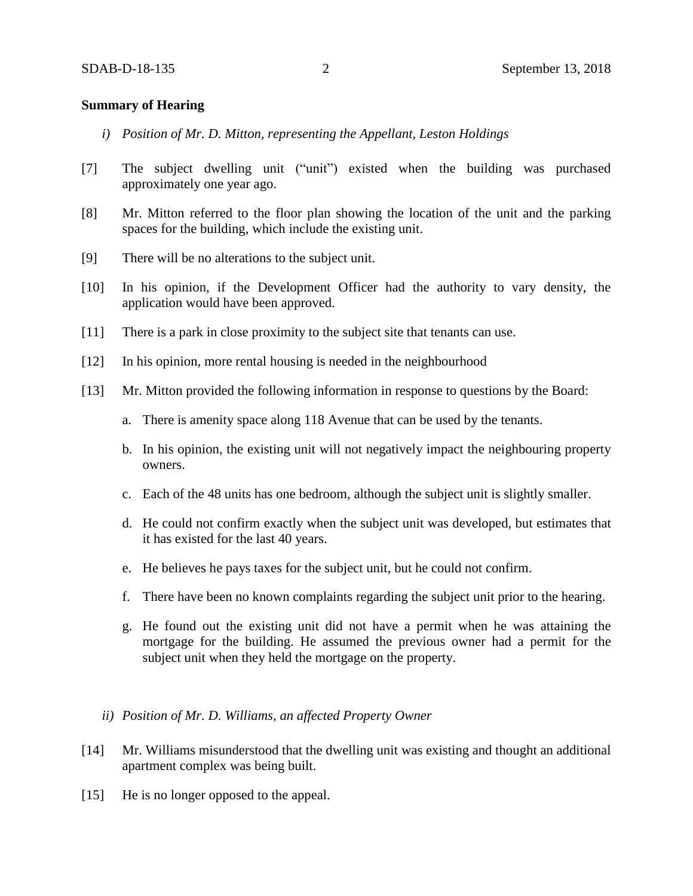### **Summary of Hearing**

- *i) Position of Mr. D. Mitton, representing the Appellant, Leston Holdings*
- [7] The subject dwelling unit ("unit") existed when the building was purchased approximately one year ago.
- [8] Mr. Mitton referred to the floor plan showing the location of the unit and the parking spaces for the building, which include the existing unit.
- [9] There will be no alterations to the subject unit.
- [10] In his opinion, if the Development Officer had the authority to vary density, the application would have been approved.
- [11] There is a park in close proximity to the subject site that tenants can use.
- [12] In his opinion, more rental housing is needed in the neighbourhood
- [13] Mr. Mitton provided the following information in response to questions by the Board:
	- a. There is amenity space along 118 Avenue that can be used by the tenants.
	- b. In his opinion, the existing unit will not negatively impact the neighbouring property owners.
	- c. Each of the 48 units has one bedroom, although the subject unit is slightly smaller.
	- d. He could not confirm exactly when the subject unit was developed, but estimates that it has existed for the last 40 years.
	- e. He believes he pays taxes for the subject unit, but he could not confirm.
	- f. There have been no known complaints regarding the subject unit prior to the hearing.
	- g. He found out the existing unit did not have a permit when he was attaining the mortgage for the building. He assumed the previous owner had a permit for the subject unit when they held the mortgage on the property.
	- *ii) Position of Mr. D. Williams, an affected Property Owner*
- [14] Mr. Williams misunderstood that the dwelling unit was existing and thought an additional apartment complex was being built.
- [15] He is no longer opposed to the appeal.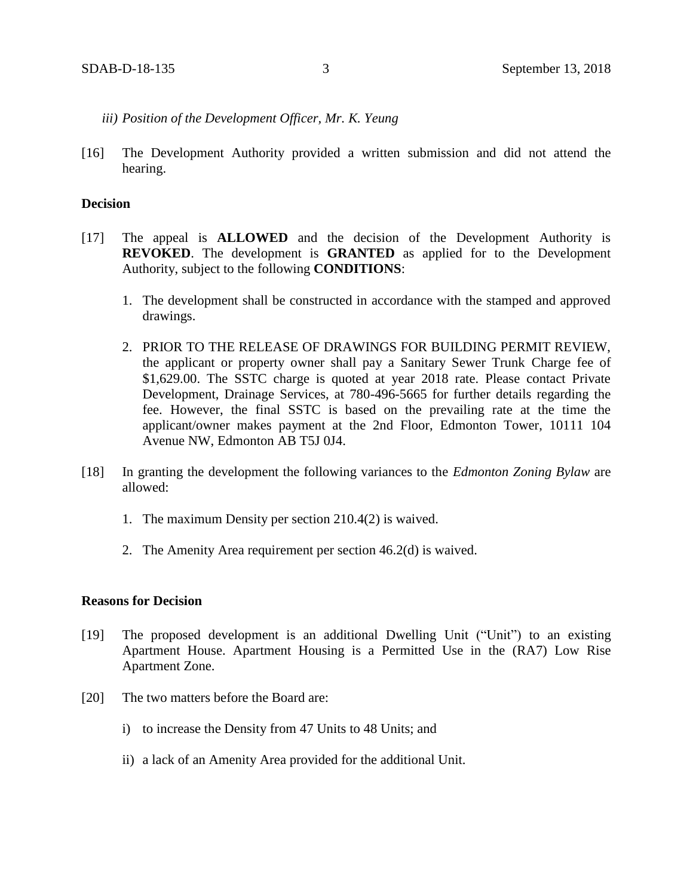- *iii) Position of the Development Officer, Mr. K. Yeung*
- [16] The Development Authority provided a written submission and did not attend the hearing.

#### **Decision**

- [17] The appeal is **ALLOWED** and the decision of the Development Authority is **REVOKED**. The development is **GRANTED** as applied for to the Development Authority, subject to the following **CONDITIONS**:
	- 1. The development shall be constructed in accordance with the stamped and approved drawings.
	- 2. PRIOR TO THE RELEASE OF DRAWINGS FOR BUILDING PERMIT REVIEW, the applicant or property owner shall pay a Sanitary Sewer Trunk Charge fee of \$1,629.00. The SSTC charge is quoted at year 2018 rate. Please contact Private Development, Drainage Services, at 780-496-5665 for further details regarding the fee. However, the final SSTC is based on the prevailing rate at the time the applicant/owner makes payment at the 2nd Floor, Edmonton Tower, 10111 104 Avenue NW, Edmonton AB T5J 0J4.
- [18] In granting the development the following variances to the *Edmonton Zoning Bylaw* are allowed:
	- 1. The maximum Density per section 210.4(2) is waived.
	- 2. The Amenity Area requirement per section 46.2(d) is waived.

### **Reasons for Decision**

- [19] The proposed development is an additional Dwelling Unit ("Unit") to an existing Apartment House. Apartment Housing is a Permitted Use in the (RA7) Low Rise Apartment Zone.
- [20] The two matters before the Board are:
	- i) to increase the Density from 47 Units to 48 Units; and
	- ii) a lack of an Amenity Area provided for the additional Unit.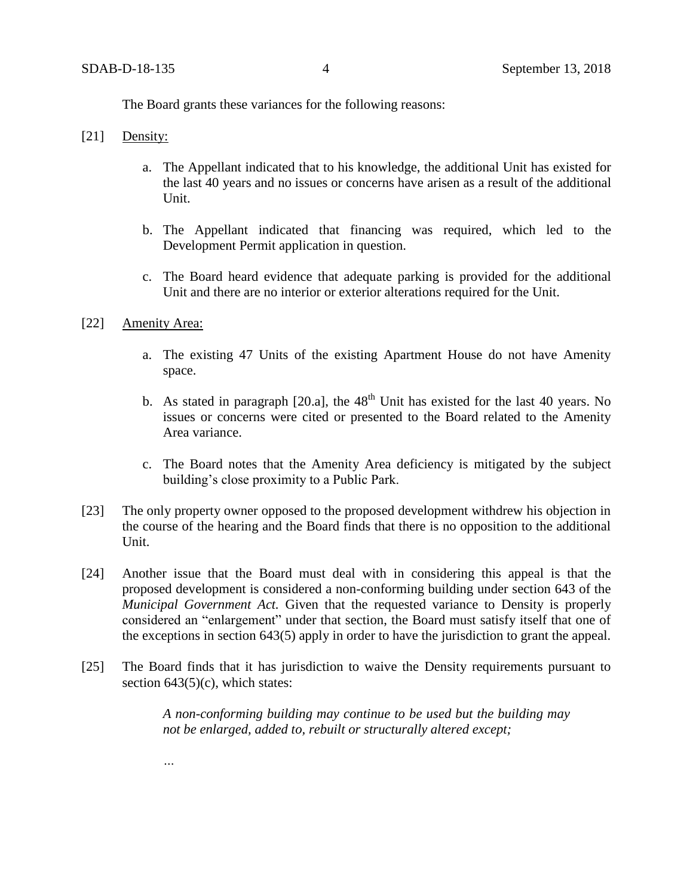The Board grants these variances for the following reasons:

- [21] Density:
	- a. The Appellant indicated that to his knowledge, the additional Unit has existed for the last 40 years and no issues or concerns have arisen as a result of the additional Unit.
	- b. The Appellant indicated that financing was required, which led to the Development Permit application in question.
	- c. The Board heard evidence that adequate parking is provided for the additional Unit and there are no interior or exterior alterations required for the Unit.
- [22] Amenity Area:

*…*

- a. The existing 47 Units of the existing Apartment House do not have Amenity space.
- b. As stated in paragraph  $[20.a]$ , the  $48<sup>th</sup>$  Unit has existed for the last 40 years. No issues or concerns were cited or presented to the Board related to the Amenity Area variance.
- c. The Board notes that the Amenity Area deficiency is mitigated by the subject building's close proximity to a Public Park.
- [23] The only property owner opposed to the proposed development withdrew his objection in the course of the hearing and the Board finds that there is no opposition to the additional Unit.
- [24] Another issue that the Board must deal with in considering this appeal is that the proposed development is considered a non-conforming building under section 643 of the *Municipal Government Act.* Given that the requested variance to Density is properly considered an "enlargement" under that section, the Board must satisfy itself that one of the exceptions in section 643(5) apply in order to have the jurisdiction to grant the appeal.
- [25] The Board finds that it has jurisdiction to waive the Density requirements pursuant to section  $643(5)(c)$ , which states:

*A non-conforming building may continue to be used but the building may not be enlarged, added to, rebuilt or structurally altered except;*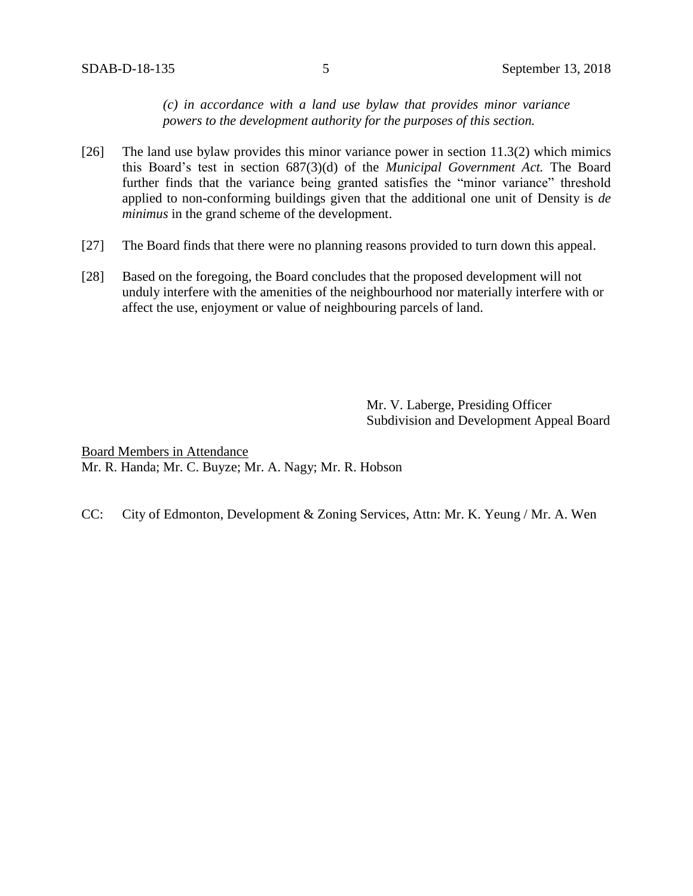*(c) in accordance with a land use bylaw that provides minor variance powers to the development authority for the purposes of this section.*

- [26] The land use bylaw provides this minor variance power in section 11.3(2) which mimics this Board's test in section 687(3)(d) of the *Municipal Government Act.* The Board further finds that the variance being granted satisfies the "minor variance" threshold applied to non-conforming buildings given that the additional one unit of Density is *de minimus* in the grand scheme of the development.
- [27] The Board finds that there were no planning reasons provided to turn down this appeal.
- [28] Based on the foregoing, the Board concludes that the proposed development will not unduly interfere with the amenities of the neighbourhood nor materially interfere with or affect the use, enjoyment or value of neighbouring parcels of land.

Mr. V. Laberge, Presiding Officer Subdivision and Development Appeal Board

Board Members in Attendance Mr. R. Handa; Mr. C. Buyze; Mr. A. Nagy; Mr. R. Hobson

CC: City of Edmonton, Development & Zoning Services, Attn: Mr. K. Yeung / Mr. A. Wen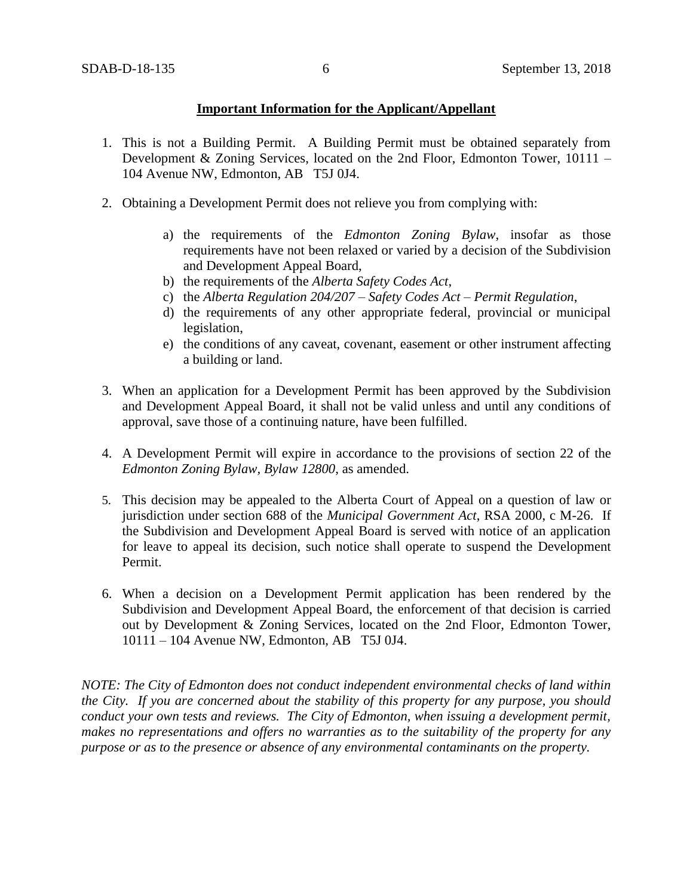## **Important Information for the Applicant/Appellant**

- 1. This is not a Building Permit. A Building Permit must be obtained separately from Development & Zoning Services, located on the 2nd Floor, Edmonton Tower, 10111 – 104 Avenue NW, Edmonton, AB T5J 0J4.
- 2. Obtaining a Development Permit does not relieve you from complying with:
	- a) the requirements of the *Edmonton Zoning Bylaw*, insofar as those requirements have not been relaxed or varied by a decision of the Subdivision and Development Appeal Board,
	- b) the requirements of the *Alberta Safety Codes Act*,
	- c) the *Alberta Regulation 204/207 – Safety Codes Act – Permit Regulation*,
	- d) the requirements of any other appropriate federal, provincial or municipal legislation,
	- e) the conditions of any caveat, covenant, easement or other instrument affecting a building or land.
- 3. When an application for a Development Permit has been approved by the Subdivision and Development Appeal Board, it shall not be valid unless and until any conditions of approval, save those of a continuing nature, have been fulfilled.
- 4. A Development Permit will expire in accordance to the provisions of section 22 of the *Edmonton Zoning Bylaw, Bylaw 12800*, as amended.
- 5. This decision may be appealed to the Alberta Court of Appeal on a question of law or jurisdiction under section 688 of the *Municipal Government Act*, RSA 2000, c M-26. If the Subdivision and Development Appeal Board is served with notice of an application for leave to appeal its decision, such notice shall operate to suspend the Development Permit.
- 6. When a decision on a Development Permit application has been rendered by the Subdivision and Development Appeal Board, the enforcement of that decision is carried out by Development & Zoning Services, located on the 2nd Floor, Edmonton Tower, 10111 – 104 Avenue NW, Edmonton, AB T5J 0J4.

*NOTE: The City of Edmonton does not conduct independent environmental checks of land within the City. If you are concerned about the stability of this property for any purpose, you should conduct your own tests and reviews. The City of Edmonton, when issuing a development permit, makes no representations and offers no warranties as to the suitability of the property for any purpose or as to the presence or absence of any environmental contaminants on the property.*